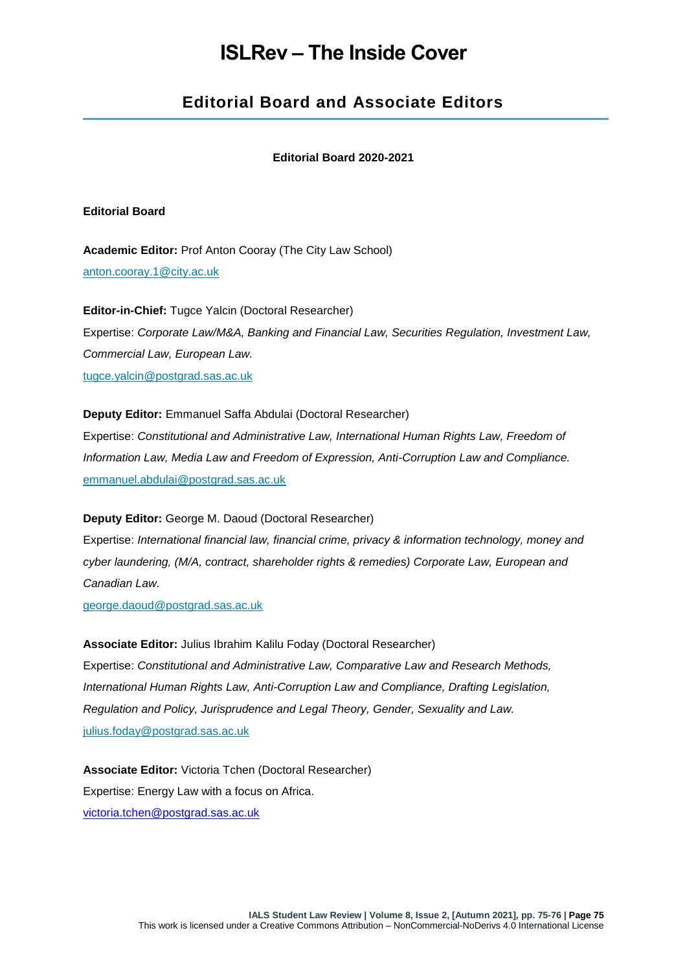# **ISLRev – The Inside Cover**

## **Editorial Board and Associate Editors**

#### **Editorial Board 2020-2021**

#### **Editorial Board**

**Academic Editor:** Prof Anton Cooray (The City Law School) [anton.cooray.1@city.ac.uk](mailto:anton.cooray.1@city.ac.uk)

**Editor-in-Chief:** Tugce Yalcin (Doctoral Researcher) Expertise: *Corporate Law/M&A, Banking and Financial Law, Securities Regulation, Investment Law, Commercial Law, European Law.* [tugce.yalcin@postgrad.sas.ac.uk](mailto:tugce.yalcin@postgrad.sas.ac.uk)

### **Deputy Editor:** Emmanuel Saffa Abdulai (Doctoral Researcher)

Expertise: *Constitutional and Administrative Law, International Human Rights Law, Freedom of Information Law, Media Law and Freedom of Expression, Anti-Corruption Law and Compliance.* [emmanuel.abdulai@postgrad.sas.ac.uk](https://journals.sas.ac.uk/lawreview/about/emmanuel.abdulai@postgrad.sas.ac.uk)

#### **Deputy Editor:** George M. Daoud (Doctoral Researcher)

Expertise: *International financial law, financial crime, privacy & information technology, money and cyber laundering, (M/A, contract, shareholder rights & remedies) Corporate Law, European and Canadian Law.*

[george.daoud@postgrad.sas.ac.uk](mailto:george.daoud@postgrad.sas.ac.uk)

**Associate Editor:** Julius Ibrahim Kalilu Foday (Doctoral Researcher) Expertise: *Constitutional and Administrative Law, Comparative Law and Research Methods, International Human Rights Law, Anti-Corruption Law and Compliance, Drafting Legislation, Regulation and Policy, Jurisprudence and Legal Theory, Gender, Sexuality and Law.* [julius.foday@postgrad.sas.ac.uk](mailto:julius.foday@postgrad.sas.ac.uk)

**Associate Editor:** Victoria Tchen (Doctoral Researcher) Expertise: Energy Law with a focus on Africa. [victoria.tchen@postgrad.sas.ac.uk](mailto:victoria.tchen@postgrad.sas.ac.uk)